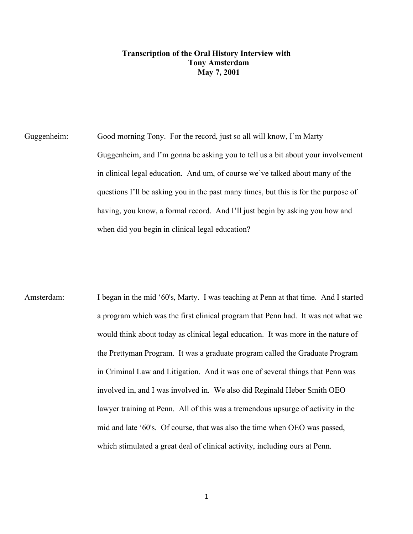## **Transcription of the Oral History Interview with Tony Amsterdam May 7, 2001**

Guggenheim: Good morning Tony. For the record, just so all will know, I'm Marty Guggenheim, and I'm gonna be asking you to tell us a bit about your involvement in clinical legal education. And um, of course we've talked about many of the questions I'll be asking you in the past many times, but this is for the purpose of having, you know, a formal record. And I'll just begin by asking you how and when did you begin in clinical legal education?

Amsterdam: I began in the mid '60's, Marty. I was teaching at Penn at that time. And I started a program which was the first clinical program that Penn had. It was not what we would think about today as clinical legal education. It was more in the nature of the Prettyman Program. It was a graduate program called the Graduate Program in Criminal Law and Litigation. And it was one of several things that Penn was involved in, and I was involved in. We also did Reginald Heber Smith OEO lawyer training at Penn. All of this was a tremendous upsurge of activity in the mid and late '60's. Of course, that was also the time when OEO was passed, which stimulated a great deal of clinical activity, including ours at Penn.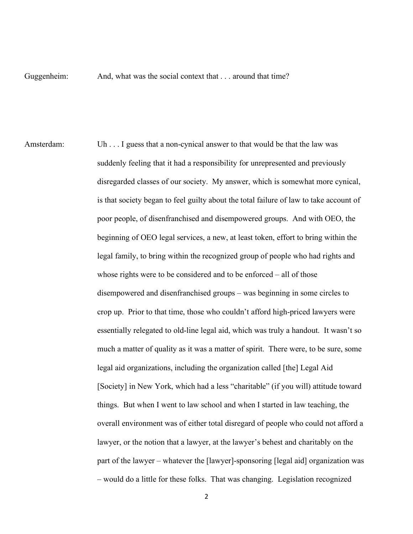Guggenheim: And, what was the social context that . . . around that time?

Amsterdam: Uh . . . I guess that a non-cynical answer to that would be that the law was suddenly feeling that it had a responsibility for unrepresented and previously disregarded classes of our society. My answer, which is somewhat more cynical, is that society began to feel guilty about the total failure of law to take account of poor people, of disenfranchised and disempowered groups. And with OEO, the beginning of OEO legal services, a new, at least token, effort to bring within the legal family, to bring within the recognized group of people who had rights and whose rights were to be considered and to be enforced – all of those disempowered and disenfranchised groups – was beginning in some circles to crop up. Prior to that time, those who couldn't afford high-priced lawyers were essentially relegated to old-line legal aid, which was truly a handout. It wasn't so much a matter of quality as it was a matter of spirit. There were, to be sure, some legal aid organizations, including the organization called [the] Legal Aid [Society] in New York, which had a less "charitable" (if you will) attitude toward things. But when I went to law school and when I started in law teaching, the overall environment was of either total disregard of people who could not afford a lawyer, or the notion that a lawyer, at the lawyer's behest and charitably on the part of the lawyer – whatever the [lawyer]-sponsoring [legal aid] organization was – would do a little for these folks. That was changing. Legislation recognized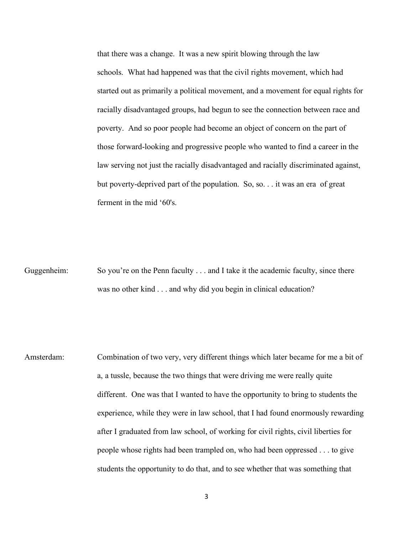that there was a change. It was a new spirit blowing through the law schools. What had happened was that the civil rights movement, which had started out as primarily a political movement, and a movement for equal rights for racially disadvantaged groups, had begun to see the connection between race and poverty. And so poor people had become an object of concern on the part of those forward-looking and progressive people who wanted to find a career in the law serving not just the racially disadvantaged and racially discriminated against, but poverty-deprived part of the population. So, so. . . it was an era of great ferment in the mid '60's.

Guggenheim: So you're on the Penn faculty . . . and I take it the academic faculty, since there was no other kind . . . and why did you begin in clinical education?

Amsterdam: Combination of two very, very different things which later became for me a bit of a, a tussle, because the two things that were driving me were really quite different. One was that I wanted to have the opportunity to bring to students the experience, while they were in law school, that I had found enormously rewarding after I graduated from law school, of working for civil rights, civil liberties for people whose rights had been trampled on, who had been oppressed . . . to give students the opportunity to do that, and to see whether that was something that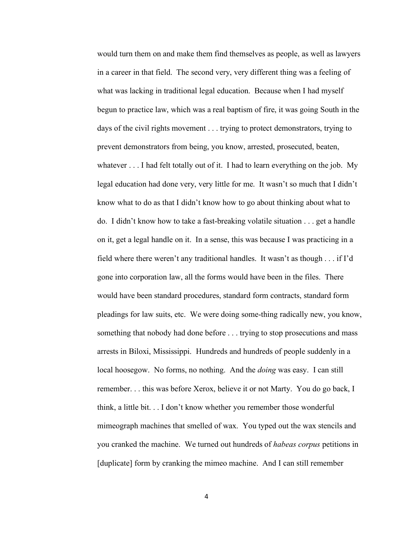would turn them on and make them find themselves as people, as well as lawyers in a career in that field. The second very, very different thing was a feeling of what was lacking in traditional legal education. Because when I had myself begun to practice law, which was a real baptism of fire, it was going South in the days of the civil rights movement . . . trying to protect demonstrators, trying to prevent demonstrators from being, you know, arrested, prosecuted, beaten, whatever . . . I had felt totally out of it. I had to learn everything on the job. My legal education had done very, very little for me. It wasn't so much that I didn't know what to do as that I didn't know how to go about thinking about what to do. I didn't know how to take a fast-breaking volatile situation . . . get a handle on it, get a legal handle on it. In a sense, this was because I was practicing in a field where there weren't any traditional handles. It wasn't as though . . . if I'd gone into corporation law, all the forms would have been in the files. There would have been standard procedures, standard form contracts, standard form pleadings for law suits, etc. We were doing some-thing radically new, you know, something that nobody had done before . . . trying to stop prosecutions and mass arrests in Biloxi, Mississippi. Hundreds and hundreds of people suddenly in a local hoosegow. No forms, no nothing. And the *doing* was easy. I can still remember. . . this was before Xerox, believe it or not Marty. You do go back, I think, a little bit. . . I don't know whether you remember those wonderful mimeograph machines that smelled of wax. You typed out the wax stencils and you cranked the machine. We turned out hundreds of *habeas corpus* petitions in [duplicate] form by cranking the mimeo machine. And I can still remember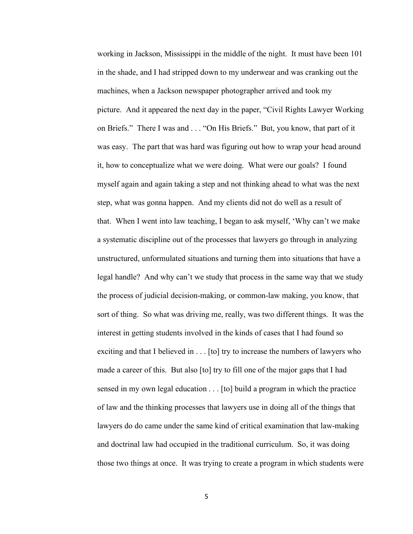working in Jackson, Mississippi in the middle of the night. It must have been 101 in the shade, and I had stripped down to my underwear and was cranking out the machines, when a Jackson newspaper photographer arrived and took my picture. And it appeared the next day in the paper, "Civil Rights Lawyer Working on Briefs." There I was and . . . "On His Briefs." But, you know, that part of it was easy. The part that was hard was figuring out how to wrap your head around it, how to conceptualize what we were doing. What were our goals? I found myself again and again taking a step and not thinking ahead to what was the next step, what was gonna happen. And my clients did not do well as a result of that. When I went into law teaching, I began to ask myself, 'Why can't we make a systematic discipline out of the processes that lawyers go through in analyzing unstructured, unformulated situations and turning them into situations that have a legal handle? And why can't we study that process in the same way that we study the process of judicial decision-making, or common-law making, you know, that sort of thing. So what was driving me, really, was two different things. It was the interest in getting students involved in the kinds of cases that I had found so exciting and that I believed in . . . [to] try to increase the numbers of lawyers who made a career of this. But also [to] try to fill one of the major gaps that I had sensed in my own legal education . . . [to] build a program in which the practice of law and the thinking processes that lawyers use in doing all of the things that lawyers do do came under the same kind of critical examination that law-making and doctrinal law had occupied in the traditional curriculum. So, it was doing those two things at once. It was trying to create a program in which students were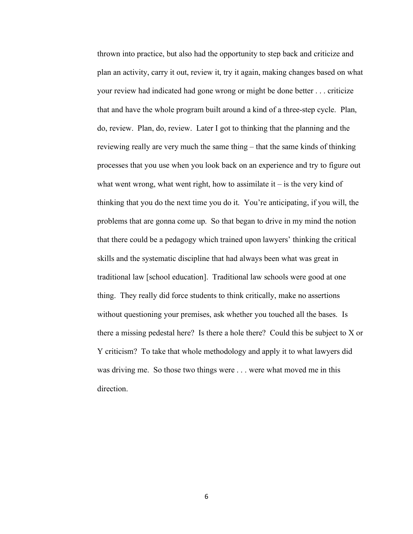thrown into practice, but also had the opportunity to step back and criticize and plan an activity, carry it out, review it, try it again, making changes based on what your review had indicated had gone wrong or might be done better . . . criticize that and have the whole program built around a kind of a three-step cycle. Plan, do, review. Plan, do, review. Later I got to thinking that the planning and the reviewing really are very much the same thing – that the same kinds of thinking processes that you use when you look back on an experience and try to figure out what went wrong, what went right, how to assimilate it  $-$  is the very kind of thinking that you do the next time you do it. You're anticipating, if you will, the problems that are gonna come up. So that began to drive in my mind the notion that there could be a pedagogy which trained upon lawyers' thinking the critical skills and the systematic discipline that had always been what was great in traditional law [school education]. Traditional law schools were good at one thing. They really did force students to think critically, make no assertions without questioning your premises, ask whether you touched all the bases. Is there a missing pedestal here? Is there a hole there? Could this be subject to X or Y criticism? To take that whole methodology and apply it to what lawyers did was driving me. So those two things were . . . were what moved me in this direction.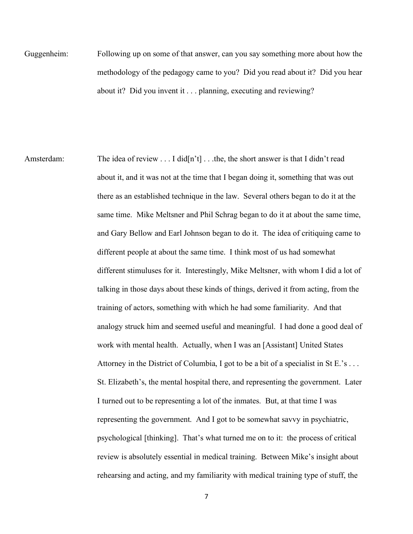Guggenheim: Following up on some of that answer, can you say something more about how the methodology of the pedagogy came to you? Did you read about it? Did you hear about it? Did you invent it . . . planning, executing and reviewing?

Amsterdam: The idea of review . . . I did[n't] . . . the, the short answer is that I didn't read about it, and it was not at the time that I began doing it, something that was out there as an established technique in the law. Several others began to do it at the same time. Mike Meltsner and Phil Schrag began to do it at about the same time, and Gary Bellow and Earl Johnson began to do it. The idea of critiquing came to different people at about the same time. I think most of us had somewhat different stimuluses for it. Interestingly, Mike Meltsner, with whom I did a lot of talking in those days about these kinds of things, derived it from acting, from the training of actors, something with which he had some familiarity. And that analogy struck him and seemed useful and meaningful. I had done a good deal of work with mental health. Actually, when I was an [Assistant] United States Attorney in the District of Columbia, I got to be a bit of a specialist in St E.'s . . . St. Elizabeth's, the mental hospital there, and representing the government. Later I turned out to be representing a lot of the inmates. But, at that time I was representing the government. And I got to be somewhat savvy in psychiatric, psychological [thinking]. That's what turned me on to it: the process of critical review is absolutely essential in medical training. Between Mike's insight about rehearsing and acting, and my familiarity with medical training type of stuff, the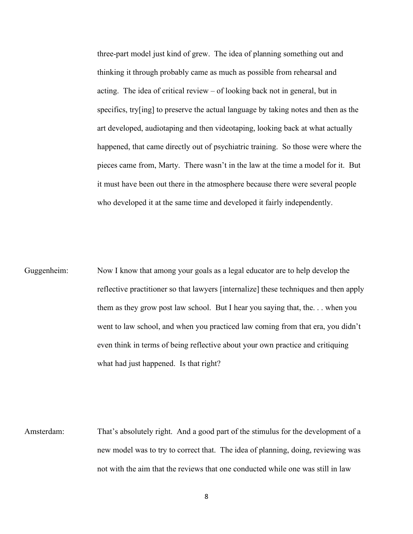three-part model just kind of grew. The idea of planning something out and thinking it through probably came as much as possible from rehearsal and acting. The idea of critical review – of looking back not in general, but in specifics, try[ing] to preserve the actual language by taking notes and then as the art developed, audiotaping and then videotaping, looking back at what actually happened, that came directly out of psychiatric training. So those were where the pieces came from, Marty. There wasn't in the law at the time a model for it. But it must have been out there in the atmosphere because there were several people who developed it at the same time and developed it fairly independently.

Guggenheim: Now I know that among your goals as a legal educator are to help develop the reflective practitioner so that lawyers [internalize] these techniques and then apply them as they grow post law school. But I hear you saying that, the. . . when you went to law school, and when you practiced law coming from that era, you didn't even think in terms of being reflective about your own practice and critiquing what had just happened. Is that right?

Amsterdam: That's absolutely right. And a good part of the stimulus for the development of a new model was to try to correct that. The idea of planning, doing, reviewing was not with the aim that the reviews that one conducted while one was still in law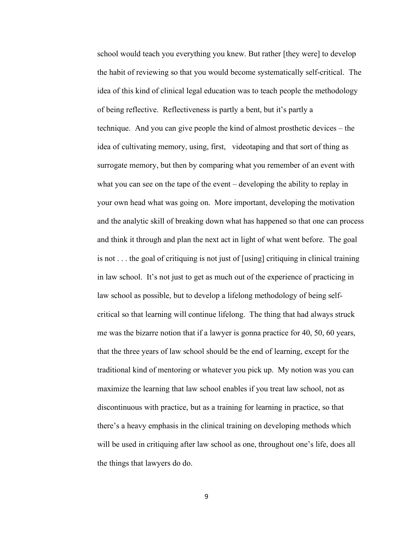school would teach you everything you knew. But rather [they were] to develop the habit of reviewing so that you would become systematically self-critical. The idea of this kind of clinical legal education was to teach people the methodology of being reflective. Reflectiveness is partly a bent, but it's partly a technique. And you can give people the kind of almost prosthetic devices – the idea of cultivating memory, using, first, videotaping and that sort of thing as surrogate memory, but then by comparing what you remember of an event with what you can see on the tape of the event – developing the ability to replay in your own head what was going on. More important, developing the motivation and the analytic skill of breaking down what has happened so that one can process and think it through and plan the next act in light of what went before. The goal is not . . . the goal of critiquing is not just of [using] critiquing in clinical training in law school. It's not just to get as much out of the experience of practicing in law school as possible, but to develop a lifelong methodology of being selfcritical so that learning will continue lifelong. The thing that had always struck me was the bizarre notion that if a lawyer is gonna practice for 40, 50, 60 years, that the three years of law school should be the end of learning, except for the traditional kind of mentoring or whatever you pick up. My notion was you can maximize the learning that law school enables if you treat law school, not as discontinuous with practice, but as a training for learning in practice, so that there's a heavy emphasis in the clinical training on developing methods which will be used in critiquing after law school as one, throughout one's life, does all the things that lawyers do do.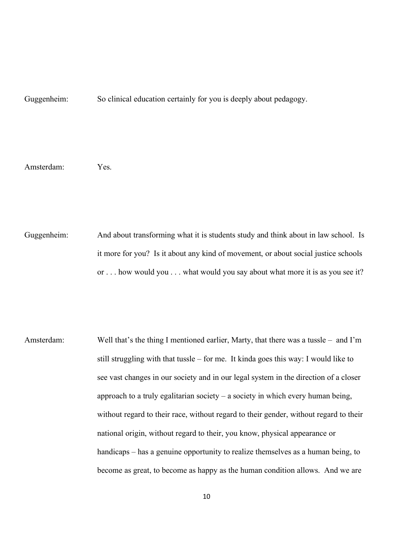Guggenheim: So clinical education certainly for you is deeply about pedagogy.

Amsterdam: Yes.

Guggenheim: And about transforming what it is students study and think about in law school. Is it more for you? Is it about any kind of movement, or about social justice schools or . . . how would you . . . what would you say about what more it is as you see it?

Amsterdam: Well that's the thing I mentioned earlier, Marty, that there was a tussle – and I'm still struggling with that tussle – for me. It kinda goes this way: I would like to see vast changes in our society and in our legal system in the direction of a closer approach to a truly egalitarian society – a society in which every human being, without regard to their race, without regard to their gender, without regard to their national origin, without regard to their, you know, physical appearance or handicaps – has a genuine opportunity to realize themselves as a human being, to become as great, to become as happy as the human condition allows. And we are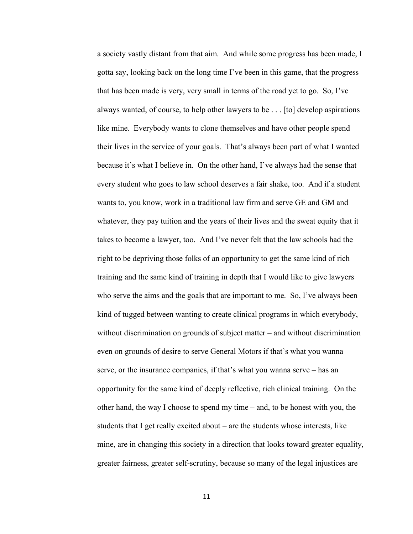a society vastly distant from that aim. And while some progress has been made, I gotta say, looking back on the long time I've been in this game, that the progress that has been made is very, very small in terms of the road yet to go. So, I've always wanted, of course, to help other lawyers to be . . . [to] develop aspirations like mine. Everybody wants to clone themselves and have other people spend their lives in the service of your goals. That's always been part of what I wanted because it's what I believe in. On the other hand, I've always had the sense that every student who goes to law school deserves a fair shake, too. And if a student wants to, you know, work in a traditional law firm and serve GE and GM and whatever, they pay tuition and the years of their lives and the sweat equity that it takes to become a lawyer, too. And I've never felt that the law schools had the right to be depriving those folks of an opportunity to get the same kind of rich training and the same kind of training in depth that I would like to give lawyers who serve the aims and the goals that are important to me. So, I've always been kind of tugged between wanting to create clinical programs in which everybody, without discrimination on grounds of subject matter – and without discrimination even on grounds of desire to serve General Motors if that's what you wanna serve, or the insurance companies, if that's what you wanna serve – has an opportunity for the same kind of deeply reflective, rich clinical training. On the other hand, the way I choose to spend my time – and, to be honest with you, the students that I get really excited about – are the students whose interests, like mine, are in changing this society in a direction that looks toward greater equality, greater fairness, greater self-scrutiny, because so many of the legal injustices are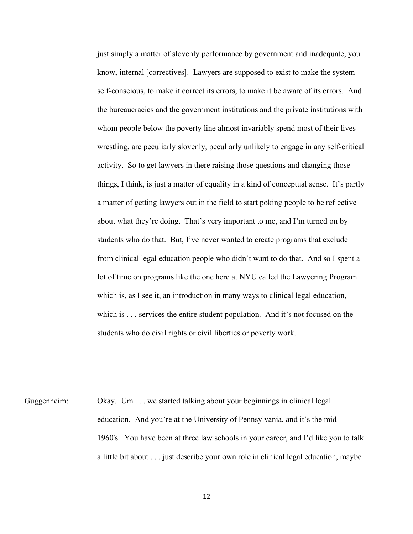just simply a matter of slovenly performance by government and inadequate, you know, internal [correctives]. Lawyers are supposed to exist to make the system self-conscious, to make it correct its errors, to make it be aware of its errors. And the bureaucracies and the government institutions and the private institutions with whom people below the poverty line almost invariably spend most of their lives wrestling, are peculiarly slovenly, peculiarly unlikely to engage in any self-critical activity. So to get lawyers in there raising those questions and changing those things, I think, is just a matter of equality in a kind of conceptual sense. It's partly a matter of getting lawyers out in the field to start poking people to be reflective about what they're doing. That's very important to me, and I'm turned on by students who do that. But, I've never wanted to create programs that exclude from clinical legal education people who didn't want to do that. And so I spent a lot of time on programs like the one here at NYU called the Lawyering Program which is, as I see it, an introduction in many ways to clinical legal education, which is . . . services the entire student population. And it's not focused on the students who do civil rights or civil liberties or poverty work.

Guggenheim: Okay. Um . . . we started talking about your beginnings in clinical legal education. And you're at the University of Pennsylvania, and it's the mid 1960's. You have been at three law schools in your career, and I'd like you to talk a little bit about . . . just describe your own role in clinical legal education, maybe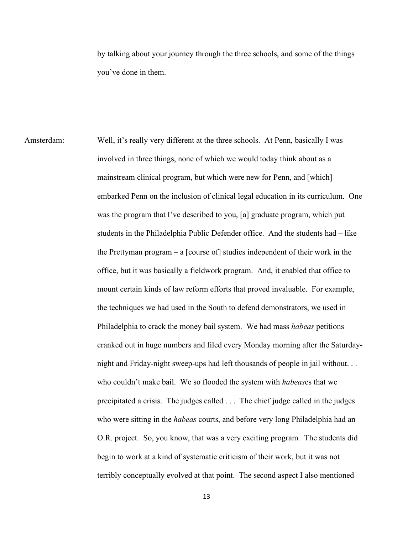by talking about your journey through the three schools, and some of the things you've done in them.

Amsterdam: Well, it's really very different at the three schools. At Penn, basically I was involved in three things, none of which we would today think about as a mainstream clinical program, but which were new for Penn, and [which] embarked Penn on the inclusion of clinical legal education in its curriculum. One was the program that I've described to you, [a] graduate program, which put students in the Philadelphia Public Defender office. And the students had – like the Prettyman program – a [course of] studies independent of their work in the office, but it was basically a fieldwork program. And, it enabled that office to mount certain kinds of law reform efforts that proved invaluable. For example, the techniques we had used in the South to defend demonstrators, we used in Philadelphia to crack the money bail system. We had mass *habeas* petitions cranked out in huge numbers and filed every Monday morning after the Saturdaynight and Friday-night sweep-ups had left thousands of people in jail without. . . who couldn't make bail. We so flooded the system with *habeas*es that we precipitated a crisis. The judges called . . . The chief judge called in the judges who were sitting in the *habeas* courts, and before very long Philadelphia had an O.R. project. So, you know, that was a very exciting program. The students did begin to work at a kind of systematic criticism of their work, but it was not terribly conceptually evolved at that point. The second aspect I also mentioned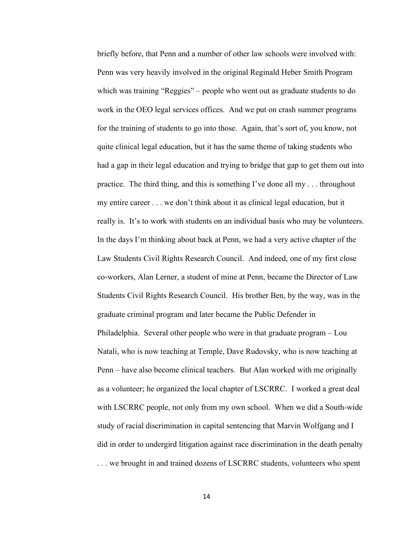briefly before, that Penn and a number of other law schools were involved with: Penn was very heavily involved in the original Reginald Heber Smith Program which was training "Reggies" – people who went out as graduate students to do work in the OEO legal services offices. And we put on crash summer programs for the training of students to go into those. Again, that's sort of, you know, not quite clinical legal education, but it has the same theme of taking students who had a gap in their legal education and trying to bridge that gap to get them out into practice. The third thing, and this is something I've done all my . . . throughout my entire career . . . we don't think about it as clinical legal education, but it really is. It's to work with students on an individual basis who may be volunteers. In the days I'm thinking about back at Penn, we had a very active chapter of the Law Students Civil Rights Research Council. And indeed, one of my first close co-workers, Alan Lerner, a student of mine at Penn, became the Director of Law Students Civil Rights Research Council. His brother Ben, by the way, was in the graduate criminal program and later became the Public Defender in Philadelphia. Several other people who were in that graduate program – Lou Natali, who is now teaching at Temple, Dave Rudovsky, who is now teaching at Penn – have also become clinical teachers. But Alan worked with me originally as a volunteer; he organized the local chapter of LSCRRC. I worked a great deal with LSCRRC people, not only from my own school. When we did a South-wide study of racial discrimination in capital sentencing that Marvin Wolfgang and I did in order to undergird litigation against race discrimination in the death penalty ... we brought in and trained dozens of LSCRRC students, volunteers who spent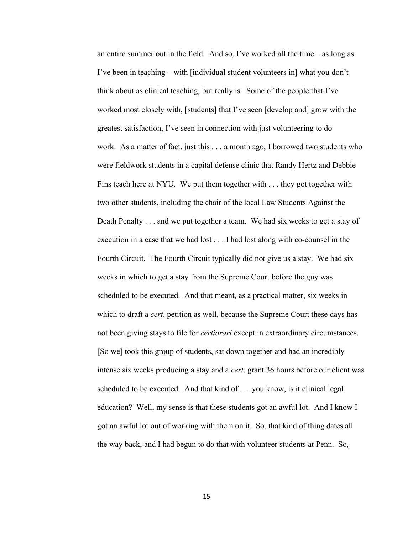an entire summer out in the field. And so, I've worked all the time – as long as I've been in teaching – with [individual student volunteers in] what you don't think about as clinical teaching, but really is. Some of the people that I've worked most closely with, [students] that I've seen [develop and] grow with the greatest satisfaction, I've seen in connection with just volunteering to do work. As a matter of fact, just this . . . a month ago, I borrowed two students who were fieldwork students in a capital defense clinic that Randy Hertz and Debbie Fins teach here at NYU. We put them together with . . . they got together with two other students, including the chair of the local Law Students Against the Death Penalty . . . and we put together a team. We had six weeks to get a stay of execution in a case that we had lost . . . I had lost along with co-counsel in the Fourth Circuit. The Fourth Circuit typically did not give us a stay. We had six weeks in which to get a stay from the Supreme Court before the guy was scheduled to be executed. And that meant, as a practical matter, six weeks in which to draft a *cert*. petition as well, because the Supreme Court these days has not been giving stays to file for *certiorari* except in extraordinary circumstances. [So we] took this group of students, sat down together and had an incredibly intense six weeks producing a stay and a *cert*. grant 36 hours before our client was scheduled to be executed. And that kind of . . . you know, is it clinical legal education? Well, my sense is that these students got an awful lot. And I know I got an awful lot out of working with them on it. So, that kind of thing dates all the way back, and I had begun to do that with volunteer students at Penn. So,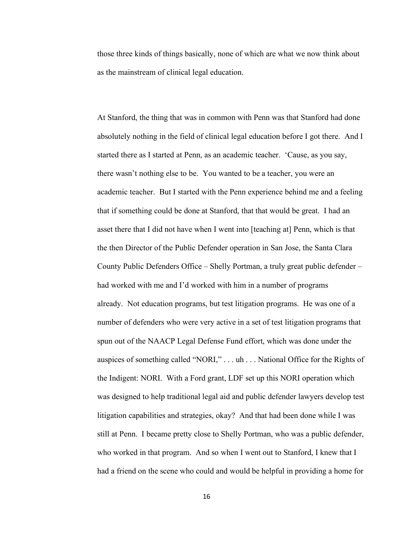those three kinds of things basically, none of which are what we now think about as the mainstream of clinical legal education.

At Stanford, the thing that was in common with Penn was that Stanford had done absolutely nothing in the field of clinical legal education before I got there. And I started there as I started at Penn, as an academic teacher. 'Cause, as you say, there wasn't nothing else to be. You wanted to be a teacher, you were an academic teacher. But I started with the Penn experience behind me and a feeling that if something could be done at Stanford, that that would be great. I had an asset there that I did not have when I went into [teaching at] Penn, which is that the then Director of the Public Defender operation in San Jose, the Santa Clara County Public Defenders Office – Shelly Portman, a truly great public defender – had worked with me and I'd worked with him in a number of programs already. Not education programs, but test litigation programs. He was one of a number of defenders who were very active in a set of test litigation programs that spun out of the NAACP Legal Defense Fund effort, which was done under the auspices of something called "NORI," . . . uh . . . National Office for the Rights of the Indigent: NORI. With a Ford grant, LDF set up this NORI operation which was designed to help traditional legal aid and public defender lawyers develop test litigation capabilities and strategies, okay? And that had been done while I was still at Penn. I became pretty close to Shelly Portman, who was a public defender, who worked in that program. And so when I went out to Stanford, I knew that I had a friend on the scene who could and would be helpful in providing a home for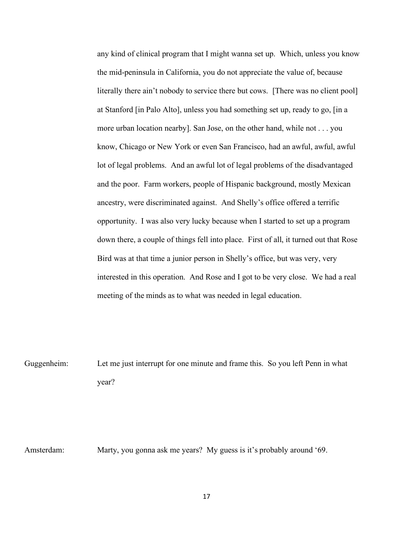any kind of clinical program that I might wanna set up. Which, unless you know the mid-peninsula in California, you do not appreciate the value of, because literally there ain't nobody to service there but cows. [There was no client pool] at Stanford [in Palo Alto], unless you had something set up, ready to go, [in a more urban location nearby]. San Jose, on the other hand, while not . . . you know, Chicago or New York or even San Francisco, had an awful, awful, awful lot of legal problems. And an awful lot of legal problems of the disadvantaged and the poor. Farm workers, people of Hispanic background, mostly Mexican ancestry, were discriminated against. And Shelly's office offered a terrific opportunity. I was also very lucky because when I started to set up a program down there, a couple of things fell into place. First of all, it turned out that Rose Bird was at that time a junior person in Shelly's office, but was very, very interested in this operation. And Rose and I got to be very close. We had a real meeting of the minds as to what was needed in legal education.

Guggenheim: Let me just interrupt for one minute and frame this. So you left Penn in what year?

Amsterdam: Marty, you gonna ask me years? My guess is it's probably around '69.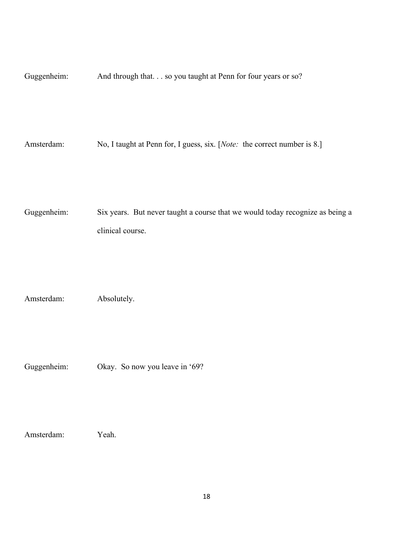Guggenheim: And through that. . . so you taught at Penn for four years or so?

Amsterdam: No, I taught at Penn for, I guess, six. [*Note:* the correct number is 8.]

Guggenheim: Six years. But never taught a course that we would today recognize as being a clinical course.

Amsterdam: Absolutely.

Guggenheim: Okay. So now you leave in '69?

Amsterdam: Yeah.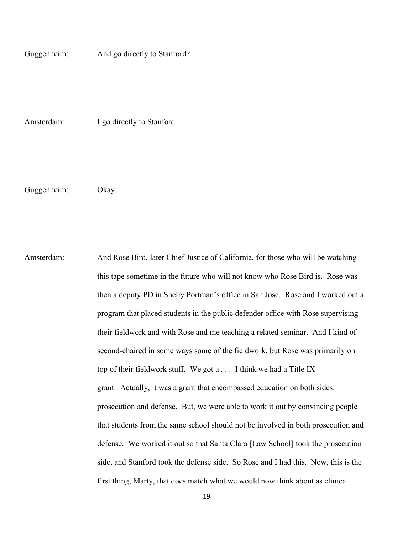Guggenheim: And go directly to Stanford?

Amsterdam: I go directly to Stanford.

Guggenheim: Okay.

Amsterdam: And Rose Bird, later Chief Justice of California, for those who will be watching this tape sometime in the future who will not know who Rose Bird is. Rose was then a deputy PD in Shelly Portman's office in San Jose. Rose and I worked out a program that placed students in the public defender office with Rose supervising their fieldwork and with Rose and me teaching a related seminar. And I kind of second-chaired in some ways some of the fieldwork, but Rose was primarily on top of their fieldwork stuff. We got a . . . I think we had a Title IX grant. Actually, it was a grant that encompassed education on both sides: prosecution and defense. But, we were able to work it out by convincing people that students from the same school should not be involved in both prosecution and defense. We worked it out so that Santa Clara [Law School] took the prosecution side, and Stanford took the defense side. So Rose and I had this. Now, this is the first thing, Marty, that does match what we would now think about as clinical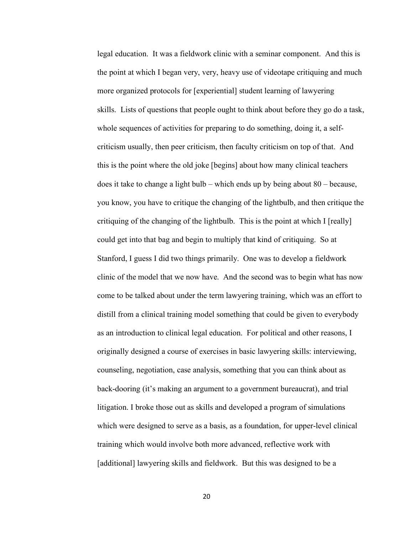legal education. It was a fieldwork clinic with a seminar component. And this is the point at which I began very, very, heavy use of videotape critiquing and much more organized protocols for [experiential] student learning of lawyering skills. Lists of questions that people ought to think about before they go do a task, whole sequences of activities for preparing to do something, doing it, a selfcriticism usually, then peer criticism, then faculty criticism on top of that. And this is the point where the old joke [begins] about how many clinical teachers does it take to change a light bulb – which ends up by being about 80 – because, you know, you have to critique the changing of the lightbulb, and then critique the critiquing of the changing of the lightbulb. This is the point at which I [really] could get into that bag and begin to multiply that kind of critiquing. So at Stanford, I guess I did two things primarily. One was to develop a fieldwork clinic of the model that we now have. And the second was to begin what has now come to be talked about under the term lawyering training, which was an effort to distill from a clinical training model something that could be given to everybody as an introduction to clinical legal education. For political and other reasons, I originally designed a course of exercises in basic lawyering skills: interviewing, counseling, negotiation, case analysis, something that you can think about as back-dooring (it's making an argument to a government bureaucrat), and trial litigation. I broke those out as skills and developed a program of simulations which were designed to serve as a basis, as a foundation, for upper-level clinical training which would involve both more advanced, reflective work with [additional] lawyering skills and fieldwork. But this was designed to be a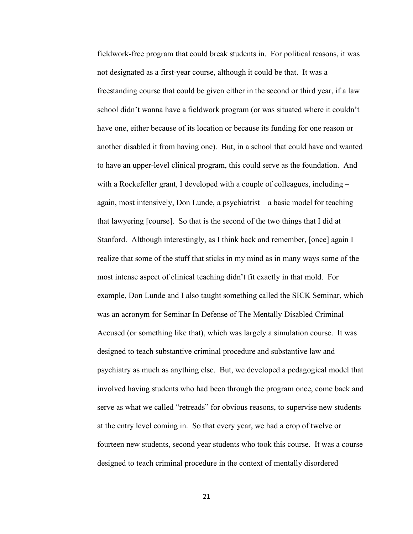fieldwork-free program that could break students in. For political reasons, it was not designated as a first-year course, although it could be that. It was a freestanding course that could be given either in the second or third year, if a law school didn't wanna have a fieldwork program (or was situated where it couldn't have one, either because of its location or because its funding for one reason or another disabled it from having one). But, in a school that could have and wanted to have an upper-level clinical program, this could serve as the foundation. And with a Rockefeller grant, I developed with a couple of colleagues, including – again, most intensively, Don Lunde, a psychiatrist – a basic model for teaching that lawyering [course]. So that is the second of the two things that I did at Stanford. Although interestingly, as I think back and remember, [once] again I realize that some of the stuff that sticks in my mind as in many ways some of the most intense aspect of clinical teaching didn't fit exactly in that mold. For example, Don Lunde and I also taught something called the SICK Seminar, which was an acronym for Seminar In Defense of The Mentally Disabled Criminal Accused (or something like that), which was largely a simulation course. It was designed to teach substantive criminal procedure and substantive law and psychiatry as much as anything else. But, we developed a pedagogical model that involved having students who had been through the program once, come back and serve as what we called "retreads" for obvious reasons, to supervise new students at the entry level coming in. So that every year, we had a crop of twelve or fourteen new students, second year students who took this course. It was a course designed to teach criminal procedure in the context of mentally disordered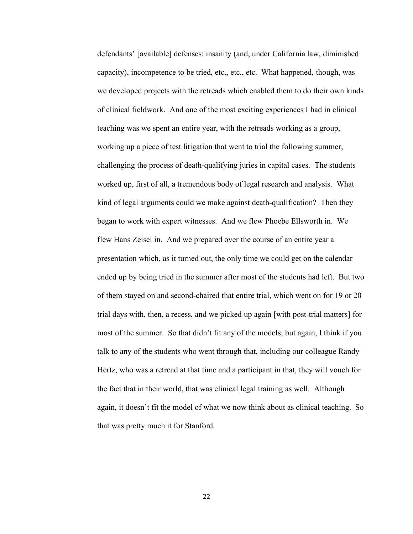defendants' [available] defenses: insanity (and, under California law, diminished capacity), incompetence to be tried, etc., etc., etc. What happened, though, was we developed projects with the retreads which enabled them to do their own kinds of clinical fieldwork. And one of the most exciting experiences I had in clinical teaching was we spent an entire year, with the retreads working as a group, working up a piece of test litigation that went to trial the following summer, challenging the process of death-qualifying juries in capital cases. The students worked up, first of all, a tremendous body of legal research and analysis. What kind of legal arguments could we make against death-qualification? Then they began to work with expert witnesses. And we flew Phoebe Ellsworth in. We flew Hans Zeisel in. And we prepared over the course of an entire year a presentation which, as it turned out, the only time we could get on the calendar ended up by being tried in the summer after most of the students had left. But two of them stayed on and second-chaired that entire trial, which went on for 19 or 20 trial days with, then, a recess, and we picked up again [with post-trial matters] for most of the summer. So that didn't fit any of the models; but again, I think if you talk to any of the students who went through that, including our colleague Randy Hertz, who was a retread at that time and a participant in that, they will vouch for the fact that in their world, that was clinical legal training as well. Although again, it doesn't fit the model of what we now think about as clinical teaching. So that was pretty much it for Stanford.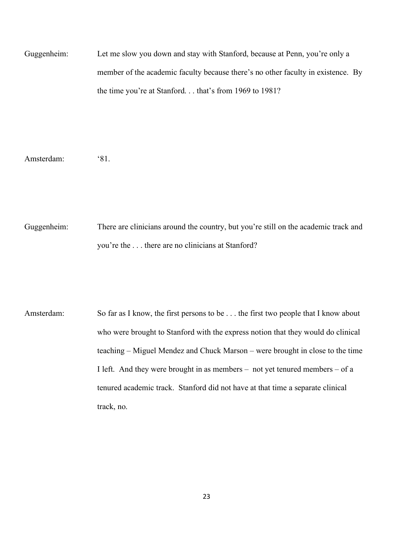Guggenheim: Let me slow you down and stay with Stanford, because at Penn, you're only a member of the academic faculty because there's no other faculty in existence. By the time you're at Stanford. . . that's from 1969 to 1981?

Amsterdam: '81.

Guggenheim: There are clinicians around the country, but you're still on the academic track and you're the . . . there are no clinicians at Stanford?

Amsterdam: So far as I know, the first persons to be . . . the first two people that I know about who were brought to Stanford with the express notion that they would do clinical teaching – Miguel Mendez and Chuck Marson – were brought in close to the time I left. And they were brought in as members – not yet tenured members – of a tenured academic track. Stanford did not have at that time a separate clinical track, no.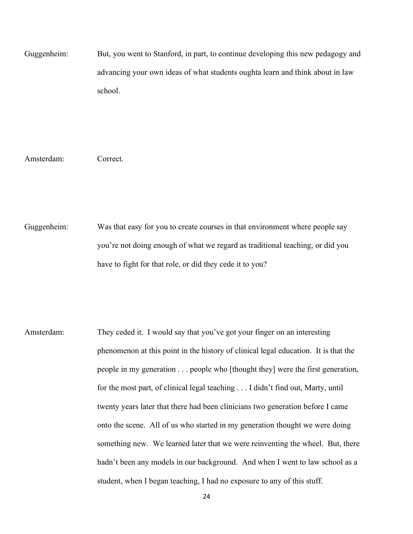Guggenheim: But, you went to Stanford, in part, to continue developing this new pedagogy and advancing your own ideas of what students oughta learn and think about in law school.

Amsterdam: Correct.

Guggenheim: Was that easy for you to create courses in that environment where people say you're not doing enough of what we regard as traditional teaching, or did you have to fight for that role, or did they cede it to you?

Amsterdam: They ceded it. I would say that you've got your finger on an interesting phenomenon at this point in the history of clinical legal education. It is that the people in my generation . . . people who [thought they] were the first generation, for the most part, of clinical legal teaching . . . I didn't find out, Marty, until twenty years later that there had been clinicians two generation before I came onto the scene. All of us who started in my generation thought we were doing something new. We learned later that we were reinventing the wheel. But, there hadn't been any models in our background. And when I went to law school as a student, when I began teaching, I had no exposure to any of this stuff.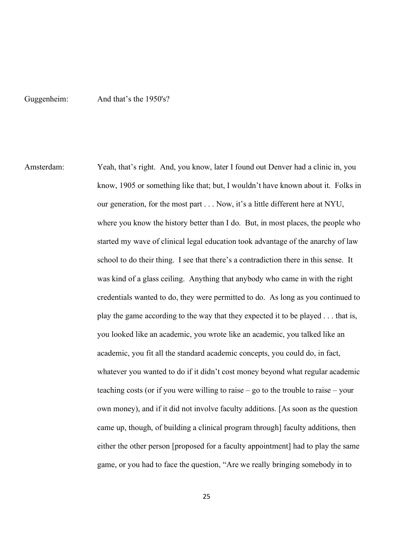## Guggenheim: And that's the 1950's?

Amsterdam: Yeah, that's right. And, you know, later I found out Denver had a clinic in, you know, 1905 or something like that; but, I wouldn't have known about it. Folks in our generation, for the most part . . . Now, it's a little different here at NYU, where you know the history better than I do. But, in most places, the people who started my wave of clinical legal education took advantage of the anarchy of law school to do their thing. I see that there's a contradiction there in this sense. It was kind of a glass ceiling. Anything that anybody who came in with the right credentials wanted to do, they were permitted to do. As long as you continued to play the game according to the way that they expected it to be played . . . that is, you looked like an academic, you wrote like an academic, you talked like an academic, you fit all the standard academic concepts, you could do, in fact, whatever you wanted to do if it didn't cost money beyond what regular academic teaching costs (or if you were willing to raise – go to the trouble to raise – your own money), and if it did not involve faculty additions. [As soon as the question came up, though, of building a clinical program through] faculty additions, then either the other person [proposed for a faculty appointment] had to play the same game, or you had to face the question, "Are we really bringing somebody in to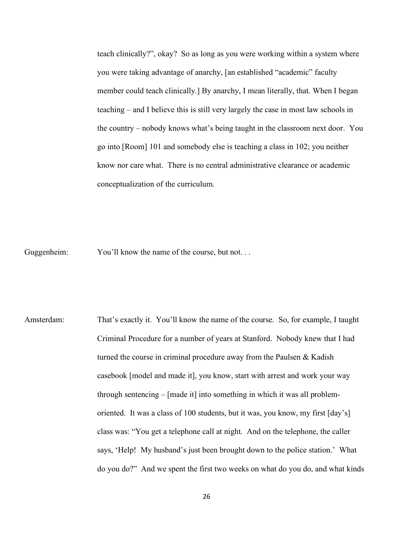teach clinically?", okay? So as long as you were working within a system where you were taking advantage of anarchy, [an established "academic" faculty member could teach clinically.] By anarchy, I mean literally, that. When I began teaching – and I believe this is still very largely the case in most law schools in the country – nobody knows what's being taught in the classroom next door. You go into [Room] 101 and somebody else is teaching a class in 102; you neither know nor care what. There is no central administrative clearance or academic conceptualization of the curriculum.

Guggenheim: You'll know the name of the course, but not...

Amsterdam: That's exactly it. You'll know the name of the course. So, for example, I taught Criminal Procedure for a number of years at Stanford. Nobody knew that I had turned the course in criminal procedure away from the Paulsen & Kadish casebook [model and made it], you know, start with arrest and work your way through sentencing – [made it] into something in which it was all problemoriented. It was a class of 100 students, but it was, you know, my first [day's] class was: "You get a telephone call at night. And on the telephone, the caller says, 'Help! My husband's just been brought down to the police station.' What do you do?" And we spent the first two weeks on what do you do, and what kinds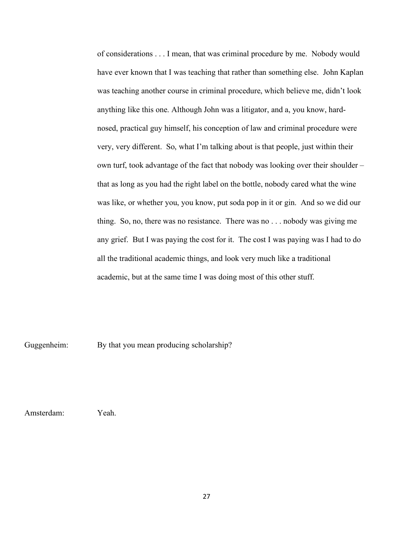of considerations . . . I mean, that was criminal procedure by me. Nobody would have ever known that I was teaching that rather than something else. John Kaplan was teaching another course in criminal procedure, which believe me, didn't look anything like this one. Although John was a litigator, and a, you know, hardnosed, practical guy himself, his conception of law and criminal procedure were very, very different. So, what I'm talking about is that people, just within their own turf, took advantage of the fact that nobody was looking over their shoulder – that as long as you had the right label on the bottle, nobody cared what the wine was like, or whether you, you know, put soda pop in it or gin. And so we did our thing. So, no, there was no resistance. There was no . . . nobody was giving me any grief. But I was paying the cost for it. The cost I was paying was I had to do all the traditional academic things, and look very much like a traditional academic, but at the same time I was doing most of this other stuff.

Guggenheim: By that you mean producing scholarship?

Amsterdam: Yeah.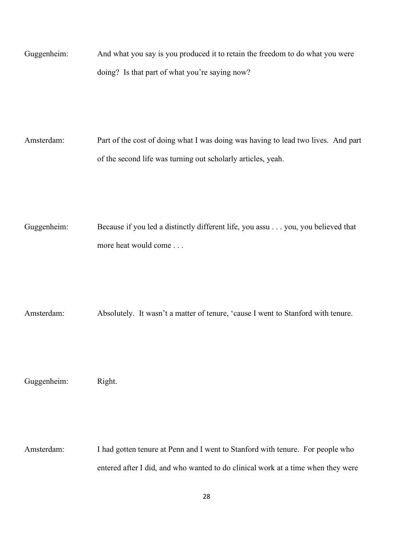Guggenheim: And what you say is you produced it to retain the freedom to do what you were doing? Is that part of what you're saying now?

Amsterdam: Part of the cost of doing what I was doing was having to lead two lives. And part of the second life was turning out scholarly articles, yeah.

Guggenheim: Because if you led a distinctly different life, you assu . . . you, you believed that more heat would come . . .

Amsterdam: Absolutely. It wasn't a matter of tenure, 'cause I went to Stanford with tenure.

Guggenheim: Right.

Amsterdam: I had gotten tenure at Penn and I went to Stanford with tenure. For people who entered after I did, and who wanted to do clinical work at a time when they were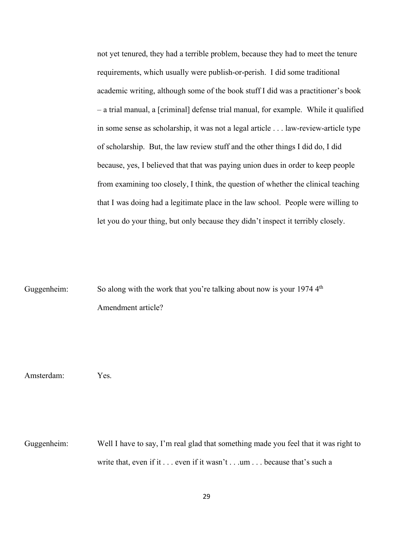not yet tenured, they had a terrible problem, because they had to meet the tenure requirements, which usually were publish-or-perish. I did some traditional academic writing, although some of the book stuff I did was a practitioner's book – a trial manual, a [criminal] defense trial manual, for example. While it qualified in some sense as scholarship, it was not a legal article . . . law-review-article type of scholarship. But, the law review stuff and the other things I did do, I did because, yes, I believed that that was paying union dues in order to keep people from examining too closely, I think, the question of whether the clinical teaching that I was doing had a legitimate place in the law school. People were willing to let you do your thing, but only because they didn't inspect it terribly closely.

Guggenheim: So along with the work that you're talking about now is your 1974 4<sup>th</sup> Amendment article?

Amsterdam: Yes.

Guggenheim: Well I have to say, I'm real glad that something made you feel that it was right to write that, even if it . . . even if it wasn't . . . um . . . because that's such a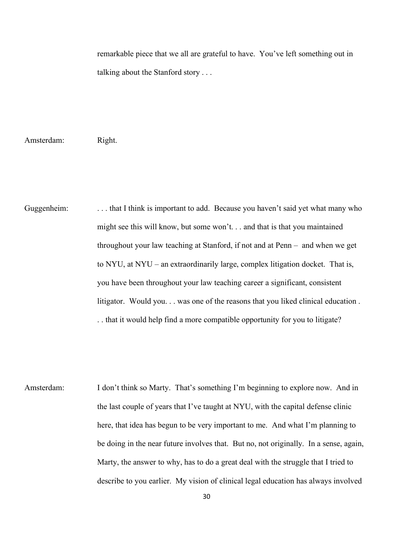remarkable piece that we all are grateful to have. You've left something out in talking about the Stanford story . . .

Amsterdam: Right.

Guggenheim: . . . . that I think is important to add. Because you haven't said yet what many who might see this will know, but some won't. . . and that is that you maintained throughout your law teaching at Stanford, if not and at Penn – and when we get to NYU, at NYU – an extraordinarily large, complex litigation docket. That is, you have been throughout your law teaching career a significant, consistent litigator. Would you. . . was one of the reasons that you liked clinical education . . . that it would help find a more compatible opportunity for you to litigate?

Amsterdam: I don't think so Marty. That's something I'm beginning to explore now. And in the last couple of years that I've taught at NYU, with the capital defense clinic here, that idea has begun to be very important to me. And what I'm planning to be doing in the near future involves that. But no, not originally. In a sense, again, Marty, the answer to why, has to do a great deal with the struggle that I tried to describe to you earlier. My vision of clinical legal education has always involved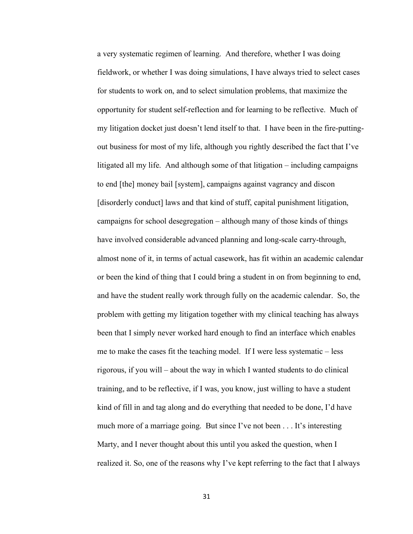a very systematic regimen of learning. And therefore, whether I was doing fieldwork, or whether I was doing simulations, I have always tried to select cases for students to work on, and to select simulation problems, that maximize the opportunity for student self-reflection and for learning to be reflective. Much of my litigation docket just doesn't lend itself to that. I have been in the fire-puttingout business for most of my life, although you rightly described the fact that I've litigated all my life. And although some of that litigation – including campaigns to end [the] money bail [system], campaigns against vagrancy and discon [disorderly conduct] laws and that kind of stuff, capital punishment litigation, campaigns for school desegregation – although many of those kinds of things have involved considerable advanced planning and long-scale carry-through, almost none of it, in terms of actual casework, has fit within an academic calendar or been the kind of thing that I could bring a student in on from beginning to end, and have the student really work through fully on the academic calendar. So, the problem with getting my litigation together with my clinical teaching has always been that I simply never worked hard enough to find an interface which enables me to make the cases fit the teaching model. If I were less systematic – less rigorous, if you will – about the way in which I wanted students to do clinical training, and to be reflective, if I was, you know, just willing to have a student kind of fill in and tag along and do everything that needed to be done, I'd have much more of a marriage going. But since I've not been . . . It's interesting Marty, and I never thought about this until you asked the question, when I realized it. So, one of the reasons why I've kept referring to the fact that I always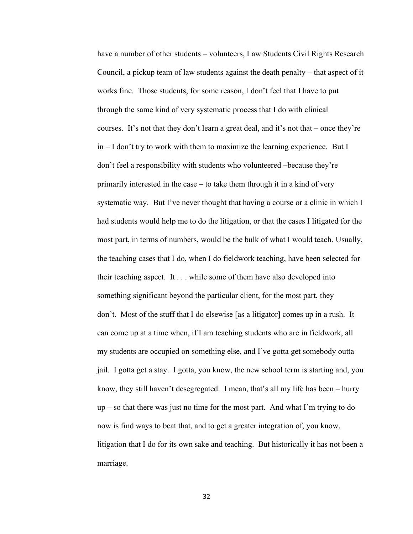have a number of other students – volunteers, Law Students Civil Rights Research Council, a pickup team of law students against the death penalty – that aspect of it works fine. Those students, for some reason, I don't feel that I have to put through the same kind of very systematic process that I do with clinical courses. It's not that they don't learn a great deal, and it's not that – once they're in – I don't try to work with them to maximize the learning experience. But I don't feel a responsibility with students who volunteered –because they're primarily interested in the case – to take them through it in a kind of very systematic way. But I've never thought that having a course or a clinic in which I had students would help me to do the litigation, or that the cases I litigated for the most part, in terms of numbers, would be the bulk of what I would teach. Usually, the teaching cases that I do, when I do fieldwork teaching, have been selected for their teaching aspect. It . . . while some of them have also developed into something significant beyond the particular client, for the most part, they don't. Most of the stuff that I do elsewise [as a litigator] comes up in a rush. It can come up at a time when, if I am teaching students who are in fieldwork, all my students are occupied on something else, and I've gotta get somebody outta jail. I gotta get a stay. I gotta, you know, the new school term is starting and, you know, they still haven't desegregated. I mean, that's all my life has been – hurry up – so that there was just no time for the most part. And what I'm trying to do now is find ways to beat that, and to get a greater integration of, you know, litigation that I do for its own sake and teaching. But historically it has not been a marriage.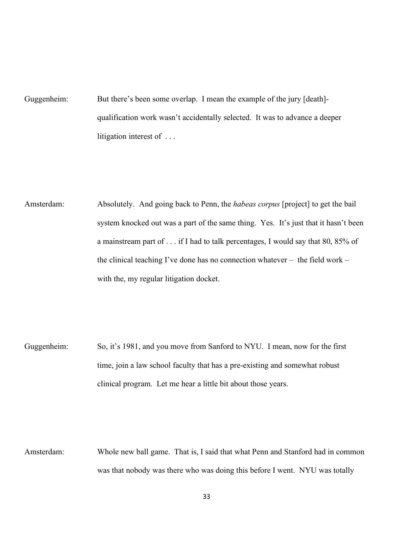Guggenheim: But there's been some overlap. I mean the example of the jury [death]qualification work wasn't accidentally selected. It was to advance a deeper litigation interest of . . .

Amsterdam: Absolutely. And going back to Penn, the *habeas corpus* [project] to get the bail system knocked out was a part of the same thing. Yes. It's just that it hasn't been a mainstream part of . . . if I had to talk percentages, I would say that 80, 85% of the clinical teaching I've done has no connection whatever – the field work – with the, my regular litigation docket.

Guggenheim: So, it's 1981, and you move from Sanford to NYU. I mean, now for the first time, join a law school faculty that has a pre-existing and somewhat robust clinical program. Let me hear a little bit about those years.

Amsterdam: Whole new ball game. That is, I said that what Penn and Stanford had in common was that nobody was there who was doing this before I went. NYU was totally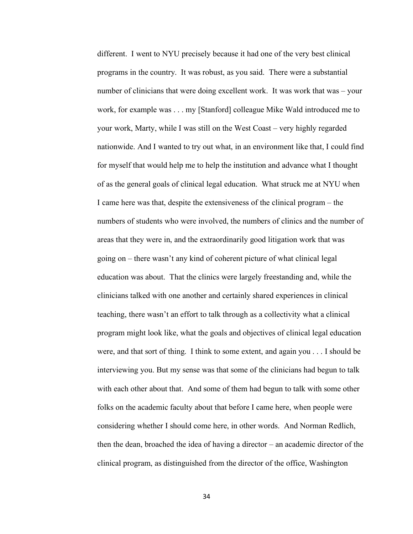different. I went to NYU precisely because it had one of the very best clinical programs in the country. It was robust, as you said. There were a substantial number of clinicians that were doing excellent work. It was work that was – your work, for example was . . . my [Stanford] colleague Mike Wald introduced me to your work, Marty, while I was still on the West Coast – very highly regarded nationwide. And I wanted to try out what, in an environment like that, I could find for myself that would help me to help the institution and advance what I thought of as the general goals of clinical legal education. What struck me at NYU when I came here was that, despite the extensiveness of the clinical program – the numbers of students who were involved, the numbers of clinics and the number of areas that they were in, and the extraordinarily good litigation work that was going on – there wasn't any kind of coherent picture of what clinical legal education was about. That the clinics were largely freestanding and, while the clinicians talked with one another and certainly shared experiences in clinical teaching, there wasn't an effort to talk through as a collectivity what a clinical program might look like, what the goals and objectives of clinical legal education were, and that sort of thing. I think to some extent, and again you . . . I should be interviewing you. But my sense was that some of the clinicians had begun to talk with each other about that. And some of them had begun to talk with some other folks on the academic faculty about that before I came here, when people were considering whether I should come here, in other words. And Norman Redlich, then the dean, broached the idea of having a director – an academic director of the clinical program, as distinguished from the director of the office, Washington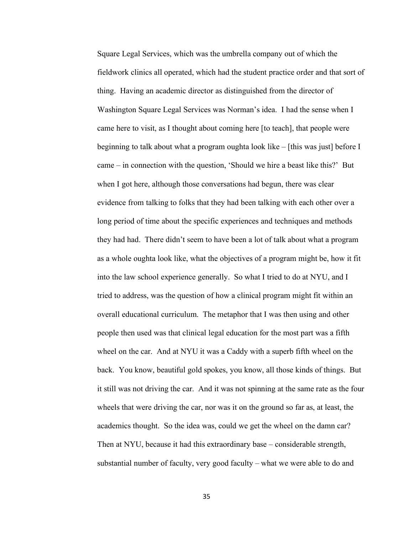Square Legal Services, which was the umbrella company out of which the fieldwork clinics all operated, which had the student practice order and that sort of thing. Having an academic director as distinguished from the director of Washington Square Legal Services was Norman's idea. I had the sense when I came here to visit, as I thought about coming here [to teach], that people were beginning to talk about what a program oughta look like – [this was just] before I came – in connection with the question, 'Should we hire a beast like this?' But when I got here, although those conversations had begun, there was clear evidence from talking to folks that they had been talking with each other over a long period of time about the specific experiences and techniques and methods they had had. There didn't seem to have been a lot of talk about what a program as a whole oughta look like, what the objectives of a program might be, how it fit into the law school experience generally. So what I tried to do at NYU, and I tried to address, was the question of how a clinical program might fit within an overall educational curriculum. The metaphor that I was then using and other people then used was that clinical legal education for the most part was a fifth wheel on the car. And at NYU it was a Caddy with a superb fifth wheel on the back. You know, beautiful gold spokes, you know, all those kinds of things. But it still was not driving the car. And it was not spinning at the same rate as the four wheels that were driving the car, nor was it on the ground so far as, at least, the academics thought. So the idea was, could we get the wheel on the damn car? Then at NYU, because it had this extraordinary base – considerable strength, substantial number of faculty, very good faculty – what we were able to do and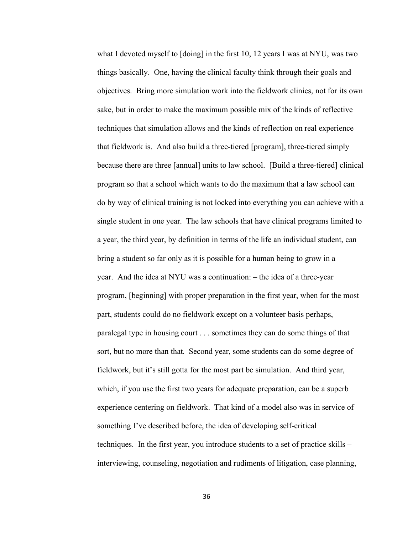what I devoted myself to [doing] in the first 10, 12 years I was at NYU, was two things basically. One, having the clinical faculty think through their goals and objectives. Bring more simulation work into the fieldwork clinics, not for its own sake, but in order to make the maximum possible mix of the kinds of reflective techniques that simulation allows and the kinds of reflection on real experience that fieldwork is. And also build a three-tiered [program], three-tiered simply because there are three [annual] units to law school. [Build a three-tiered] clinical program so that a school which wants to do the maximum that a law school can do by way of clinical training is not locked into everything you can achieve with a single student in one year. The law schools that have clinical programs limited to a year, the third year, by definition in terms of the life an individual student, can bring a student so far only as it is possible for a human being to grow in a year. And the idea at NYU was a continuation: – the idea of a three-year program, [beginning] with proper preparation in the first year, when for the most part, students could do no fieldwork except on a volunteer basis perhaps, paralegal type in housing court . . . sometimes they can do some things of that sort, but no more than that. Second year, some students can do some degree of fieldwork, but it's still gotta for the most part be simulation. And third year, which, if you use the first two years for adequate preparation, can be a superb experience centering on fieldwork. That kind of a model also was in service of something I've described before, the idea of developing self-critical techniques. In the first year, you introduce students to a set of practice skills – interviewing, counseling, negotiation and rudiments of litigation, case planning,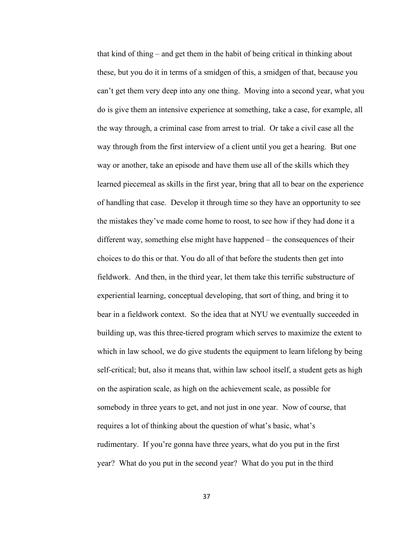that kind of thing – and get them in the habit of being critical in thinking about these, but you do it in terms of a smidgen of this, a smidgen of that, because you can't get them very deep into any one thing. Moving into a second year, what you do is give them an intensive experience at something, take a case, for example, all the way through, a criminal case from arrest to trial. Or take a civil case all the way through from the first interview of a client until you get a hearing. But one way or another, take an episode and have them use all of the skills which they learned piecemeal as skills in the first year, bring that all to bear on the experience of handling that case. Develop it through time so they have an opportunity to see the mistakes they've made come home to roost, to see how if they had done it a different way, something else might have happened – the consequences of their choices to do this or that. You do all of that before the students then get into fieldwork. And then, in the third year, let them take this terrific substructure of experiential learning, conceptual developing, that sort of thing, and bring it to bear in a fieldwork context. So the idea that at NYU we eventually succeeded in building up, was this three-tiered program which serves to maximize the extent to which in law school, we do give students the equipment to learn lifelong by being self-critical; but, also it means that, within law school itself, a student gets as high on the aspiration scale, as high on the achievement scale, as possible for somebody in three years to get, and not just in one year. Now of course, that requires a lot of thinking about the question of what's basic, what's rudimentary. If you're gonna have three years, what do you put in the first year? What do you put in the second year? What do you put in the third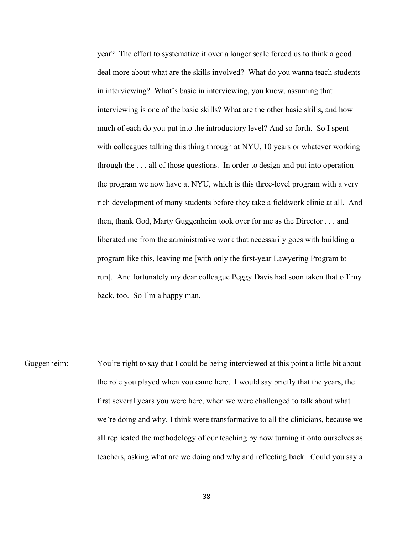year? The effort to systematize it over a longer scale forced us to think a good deal more about what are the skills involved? What do you wanna teach students in interviewing? What's basic in interviewing, you know, assuming that interviewing is one of the basic skills? What are the other basic skills, and how much of each do you put into the introductory level? And so forth. So I spent with colleagues talking this thing through at NYU, 10 years or whatever working through the . . . all of those questions. In order to design and put into operation the program we now have at NYU, which is this three-level program with a very rich development of many students before they take a fieldwork clinic at all. And then, thank God, Marty Guggenheim took over for me as the Director . . . and liberated me from the administrative work that necessarily goes with building a program like this, leaving me [with only the first-year Lawyering Program to run]. And fortunately my dear colleague Peggy Davis had soon taken that off my back, too. So I'm a happy man.

Guggenheim: You're right to say that I could be being interviewed at this point a little bit about the role you played when you came here. I would say briefly that the years, the first several years you were here, when we were challenged to talk about what we're doing and why, I think were transformative to all the clinicians, because we all replicated the methodology of our teaching by now turning it onto ourselves as teachers, asking what are we doing and why and reflecting back. Could you say a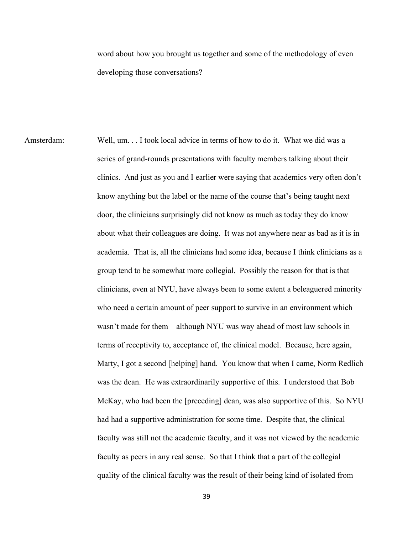word about how you brought us together and some of the methodology of even developing those conversations?

Amsterdam: Well, um. . . I took local advice in terms of how to do it. What we did was a series of grand-rounds presentations with faculty members talking about their clinics. And just as you and I earlier were saying that academics very often don't know anything but the label or the name of the course that's being taught next door, the clinicians surprisingly did not know as much as today they do know about what their colleagues are doing. It was not anywhere near as bad as it is in academia. That is, all the clinicians had some idea, because I think clinicians as a group tend to be somewhat more collegial. Possibly the reason for that is that clinicians, even at NYU, have always been to some extent a beleaguered minority who need a certain amount of peer support to survive in an environment which wasn't made for them – although NYU was way ahead of most law schools in terms of receptivity to, acceptance of, the clinical model. Because, here again, Marty, I got a second [helping] hand. You know that when I came, Norm Redlich was the dean. He was extraordinarily supportive of this. I understood that Bob McKay, who had been the [preceding] dean, was also supportive of this. So NYU had had a supportive administration for some time. Despite that, the clinical faculty was still not the academic faculty, and it was not viewed by the academic faculty as peers in any real sense. So that I think that a part of the collegial quality of the clinical faculty was the result of their being kind of isolated from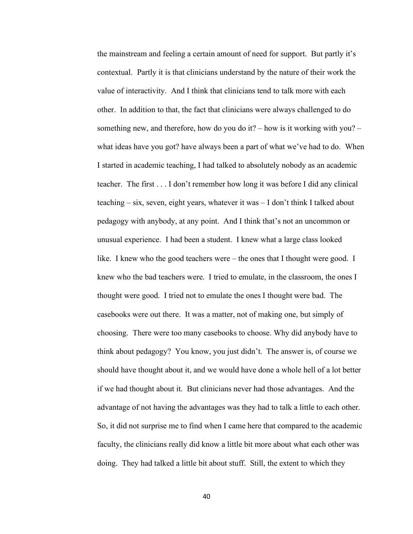the mainstream and feeling a certain amount of need for support. But partly it's contextual. Partly it is that clinicians understand by the nature of their work the value of interactivity. And I think that clinicians tend to talk more with each other. In addition to that, the fact that clinicians were always challenged to do something new, and therefore, how do you do it? – how is it working with you? – what ideas have you got? have always been a part of what we've had to do. When I started in academic teaching, I had talked to absolutely nobody as an academic teacher. The first . . . I don't remember how long it was before I did any clinical teaching – six, seven, eight years, whatever it was – I don't think I talked about pedagogy with anybody, at any point. And I think that's not an uncommon or unusual experience. I had been a student. I knew what a large class looked like. I knew who the good teachers were – the ones that I thought were good. I knew who the bad teachers were. I tried to emulate, in the classroom, the ones I thought were good. I tried not to emulate the ones I thought were bad. The casebooks were out there. It was a matter, not of making one, but simply of choosing. There were too many casebooks to choose. Why did anybody have to think about pedagogy? You know, you just didn't. The answer is, of course we should have thought about it, and we would have done a whole hell of a lot better if we had thought about it. But clinicians never had those advantages. And the advantage of not having the advantages was they had to talk a little to each other. So, it did not surprise me to find when I came here that compared to the academic faculty, the clinicians really did know a little bit more about what each other was doing. They had talked a little bit about stuff. Still, the extent to which they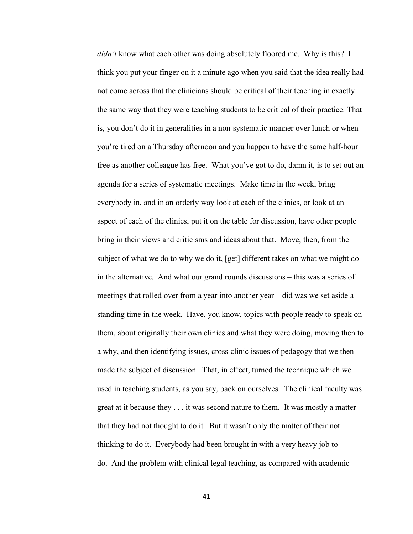*didn't* know what each other was doing absolutely floored me. Why is this? I think you put your finger on it a minute ago when you said that the idea really had not come across that the clinicians should be critical of their teaching in exactly the same way that they were teaching students to be critical of their practice. That is, you don't do it in generalities in a non-systematic manner over lunch or when you're tired on a Thursday afternoon and you happen to have the same half-hour free as another colleague has free. What you've got to do, damn it, is to set out an agenda for a series of systematic meetings. Make time in the week, bring everybody in, and in an orderly way look at each of the clinics, or look at an aspect of each of the clinics, put it on the table for discussion, have other people bring in their views and criticisms and ideas about that. Move, then, from the subject of what we do to why we do it, [get] different takes on what we might do in the alternative. And what our grand rounds discussions – this was a series of meetings that rolled over from a year into another year – did was we set aside a standing time in the week. Have, you know, topics with people ready to speak on them, about originally their own clinics and what they were doing, moving then to a why, and then identifying issues, cross-clinic issues of pedagogy that we then made the subject of discussion. That, in effect, turned the technique which we used in teaching students, as you say, back on ourselves. The clinical faculty was great at it because they . . . it was second nature to them. It was mostly a matter that they had not thought to do it. But it wasn't only the matter of their not thinking to do it. Everybody had been brought in with a very heavy job to do. And the problem with clinical legal teaching, as compared with academic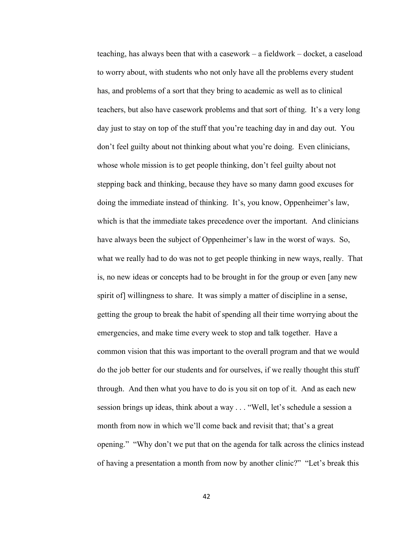teaching, has always been that with a casework – a fieldwork – docket, a caseload to worry about, with students who not only have all the problems every student has, and problems of a sort that they bring to academic as well as to clinical teachers, but also have casework problems and that sort of thing. It's a very long day just to stay on top of the stuff that you're teaching day in and day out. You don't feel guilty about not thinking about what you're doing. Even clinicians, whose whole mission is to get people thinking, don't feel guilty about not stepping back and thinking, because they have so many damn good excuses for doing the immediate instead of thinking. It's, you know, Oppenheimer's law, which is that the immediate takes precedence over the important. And clinicians have always been the subject of Oppenheimer's law in the worst of ways. So, what we really had to do was not to get people thinking in new ways, really. That is, no new ideas or concepts had to be brought in for the group or even [any new spirit of] willingness to share. It was simply a matter of discipline in a sense, getting the group to break the habit of spending all their time worrying about the emergencies, and make time every week to stop and talk together. Have a common vision that this was important to the overall program and that we would do the job better for our students and for ourselves, if we really thought this stuff through. And then what you have to do is you sit on top of it. And as each new session brings up ideas, think about a way . . . "Well, let's schedule a session a month from now in which we'll come back and revisit that; that's a great opening." "Why don't we put that on the agenda for talk across the clinics instead of having a presentation a month from now by another clinic?" "Let's break this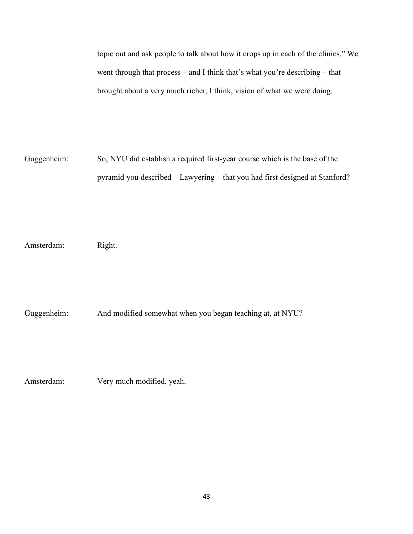topic out and ask people to talk about how it crops up in each of the clinics." We went through that process – and I think that's what you're describing – that brought about a very much richer, I think, vision of what we were doing.

Guggenheim: So, NYU did establish a required first-year course which is the base of the pyramid you described – Lawyering – that you had first designed at Stanford?

Amsterdam: Right.

Guggenheim: And modified somewhat when you began teaching at, at NYU?

Amsterdam: Very much modified, yeah.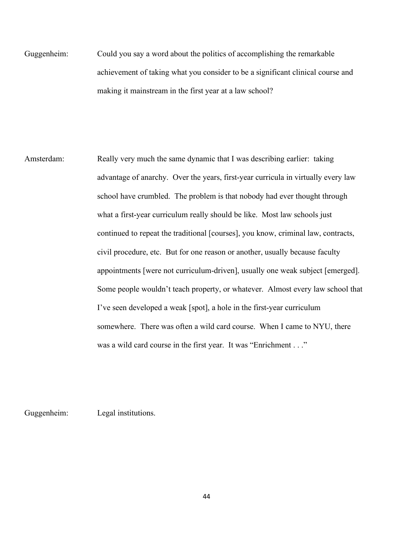Guggenheim: Could you say a word about the politics of accomplishing the remarkable achievement of taking what you consider to be a significant clinical course and making it mainstream in the first year at a law school?

Amsterdam: Really very much the same dynamic that I was describing earlier: taking advantage of anarchy. Over the years, first-year curricula in virtually every law school have crumbled. The problem is that nobody had ever thought through what a first-year curriculum really should be like. Most law schools just continued to repeat the traditional [courses], you know, criminal law, contracts, civil procedure, etc. But for one reason or another, usually because faculty appointments [were not curriculum-driven], usually one weak subject [emerged]. Some people wouldn't teach property, or whatever. Almost every law school that I've seen developed a weak [spot], a hole in the first-year curriculum somewhere. There was often a wild card course. When I came to NYU, there was a wild card course in the first year. It was "Enrichment . . ."

Guggenheim: Legal institutions.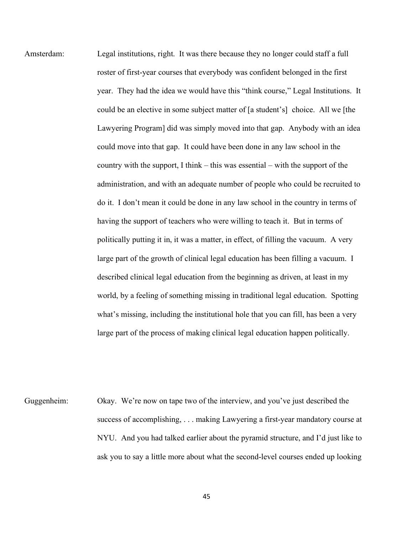Amsterdam: Legal institutions, right. It was there because they no longer could staff a full roster of first-year courses that everybody was confident belonged in the first year. They had the idea we would have this "think course," Legal Institutions. It could be an elective in some subject matter of [a student's] choice. All we [the Lawyering Program] did was simply moved into that gap. Anybody with an idea could move into that gap. It could have been done in any law school in the country with the support, I think – this was essential – with the support of the administration, and with an adequate number of people who could be recruited to do it. I don't mean it could be done in any law school in the country in terms of having the support of teachers who were willing to teach it. But in terms of politically putting it in, it was a matter, in effect, of filling the vacuum. A very large part of the growth of clinical legal education has been filling a vacuum. I described clinical legal education from the beginning as driven, at least in my world, by a feeling of something missing in traditional legal education. Spotting what's missing, including the institutional hole that you can fill, has been a very large part of the process of making clinical legal education happen politically.

Guggenheim: Okay. We're now on tape two of the interview, and you've just described the success of accomplishing, . . . making Lawyering a first-year mandatory course at NYU. And you had talked earlier about the pyramid structure, and I'd just like to ask you to say a little more about what the second-level courses ended up looking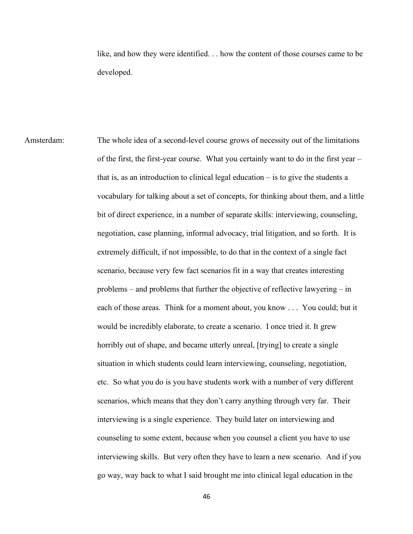like, and how they were identified. . . how the content of those courses came to be developed.

Amsterdam: The whole idea of a second-level course grows of necessity out of the limitations of the first, the first-year course. What you certainly want to do in the first year – that is, as an introduction to clinical legal education – is to give the students a vocabulary for talking about a set of concepts, for thinking about them, and a little bit of direct experience, in a number of separate skills: interviewing, counseling, negotiation, case planning, informal advocacy, trial litigation, and so forth. It is extremely difficult, if not impossible, to do that in the context of a single fact scenario, because very few fact scenarios fit in a way that creates interesting problems – and problems that further the objective of reflective lawyering – in each of those areas. Think for a moment about, you know . . . You could; but it would be incredibly elaborate, to create a scenario. I once tried it. It grew horribly out of shape, and became utterly unreal, [trying] to create a single situation in which students could learn interviewing, counseling, negotiation, etc. So what you do is you have students work with a number of very different scenarios, which means that they don't carry anything through very far. Their interviewing is a single experience. They build later on interviewing and counseling to some extent, because when you counsel a client you have to use interviewing skills. But very often they have to learn a new scenario. And if you go way, way back to what I said brought me into clinical legal education in the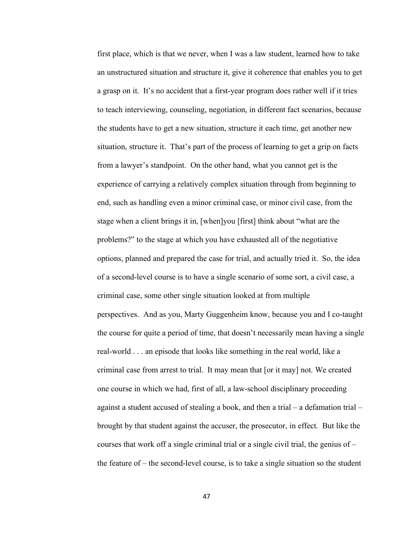first place, which is that we never, when I was a law student, learned how to take an unstructured situation and structure it, give it coherence that enables you to get a grasp on it. It's no accident that a first-year program does rather well if it tries to teach interviewing, counseling, negotiation, in different fact scenarios, because the students have to get a new situation, structure it each time, get another new situation, structure it. That's part of the process of learning to get a grip on facts from a lawyer's standpoint. On the other hand, what you cannot get is the experience of carrying a relatively complex situation through from beginning to end, such as handling even a minor criminal case, or minor civil case, from the stage when a client brings it in, [when]you [first] think about "what are the problems?" to the stage at which you have exhausted all of the negotiative options, planned and prepared the case for trial, and actually tried it. So, the idea of a second-level course is to have a single scenario of some sort, a civil case, a criminal case, some other single situation looked at from multiple perspectives. And as you, Marty Guggenheim know, because you and I co-taught the course for quite a period of time, that doesn't necessarily mean having a single real-world . . . an episode that looks like something in the real world, like a criminal case from arrest to trial. It may mean that [or it may] not. We created one course in which we had, first of all, a law-school disciplinary proceeding against a student accused of stealing a book, and then a trial – a defamation trial – brought by that student against the accuser, the prosecutor, in effect. But like the courses that work off a single criminal trial or a single civil trial, the genius of – the feature of – the second-level course, is to take a single situation so the student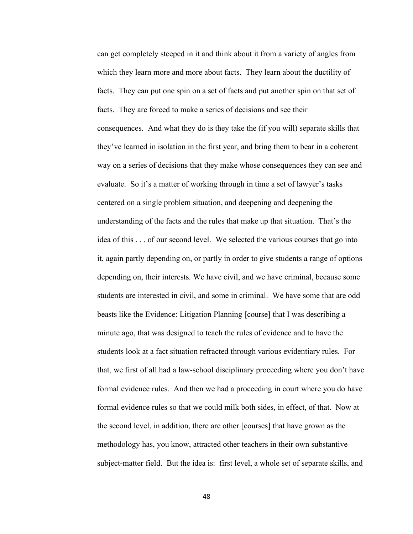can get completely steeped in it and think about it from a variety of angles from which they learn more and more about facts. They learn about the ductility of facts. They can put one spin on a set of facts and put another spin on that set of facts. They are forced to make a series of decisions and see their consequences. And what they do is they take the (if you will) separate skills that they've learned in isolation in the first year, and bring them to bear in a coherent way on a series of decisions that they make whose consequences they can see and evaluate. So it's a matter of working through in time a set of lawyer's tasks centered on a single problem situation, and deepening and deepening the understanding of the facts and the rules that make up that situation. That's the idea of this . . . of our second level. We selected the various courses that go into it, again partly depending on, or partly in order to give students a range of options depending on, their interests. We have civil, and we have criminal, because some students are interested in civil, and some in criminal. We have some that are odd beasts like the Evidence: Litigation Planning [course] that I was describing a minute ago, that was designed to teach the rules of evidence and to have the students look at a fact situation refracted through various evidentiary rules. For that, we first of all had a law-school disciplinary proceeding where you don't have formal evidence rules. And then we had a proceeding in court where you do have formal evidence rules so that we could milk both sides, in effect, of that. Now at the second level, in addition, there are other [courses] that have grown as the methodology has, you know, attracted other teachers in their own substantive subject-matter field. But the idea is: first level, a whole set of separate skills, and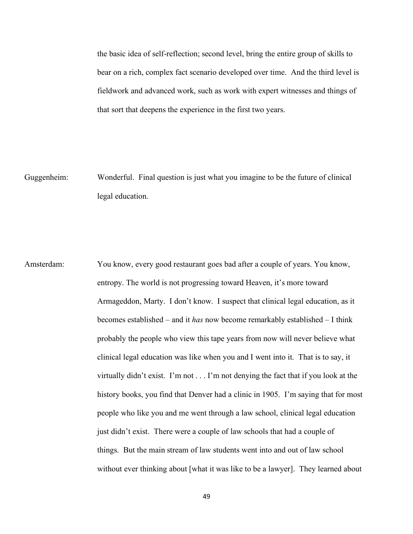the basic idea of self-reflection; second level, bring the entire group of skills to bear on a rich, complex fact scenario developed over time. And the third level is fieldwork and advanced work, such as work with expert witnesses and things of that sort that deepens the experience in the first two years.

Guggenheim: Wonderful. Final question is just what you imagine to be the future of clinical legal education.

Amsterdam: You know, every good restaurant goes bad after a couple of years. You know, entropy. The world is not progressing toward Heaven, it's more toward Armageddon, Marty. I don't know. I suspect that clinical legal education, as it becomes established – and it *has* now become remarkably established – I think probably the people who view this tape years from now will never believe what clinical legal education was like when you and I went into it. That is to say, it virtually didn't exist. I'm not . . . I'm not denying the fact that if you look at the history books, you find that Denver had a clinic in 1905. I'm saying that for most people who like you and me went through a law school, clinical legal education just didn't exist. There were a couple of law schools that had a couple of things. But the main stream of law students went into and out of law school without ever thinking about [what it was like to be a lawyer]. They learned about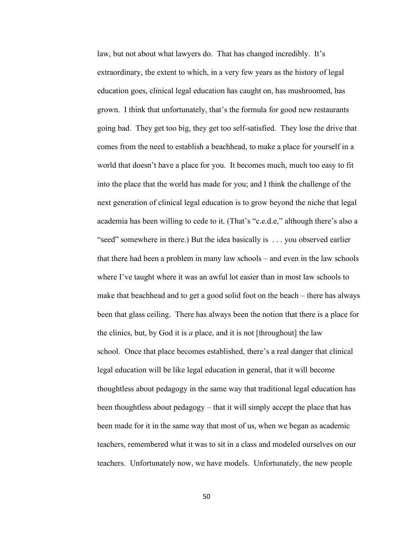law, but not about what lawyers do. That has changed incredibly. It's extraordinary, the extent to which, in a very few years as the history of legal education goes, clinical legal education has caught on, has mushroomed, has grown. I think that unfortunately, that's the formula for good new restaurants going bad. They get too big, they get too self-satisfied. They lose the drive that comes from the need to establish a beachhead, to make a place for yourself in a world that doesn't have a place for you. It becomes much, much too easy to fit into the place that the world has made for you; and I think the challenge of the next generation of clinical legal education is to grow beyond the niche that legal academia has been willing to cede to it. (That's "c.e.d.e," although there's also a "seed" somewhere in there.) But the idea basically is . . . you observed earlier that there had been a problem in many law schools – and even in the law schools where I've taught where it was an awful lot easier than in most law schools to make that beachhead and to get a good solid foot on the beach – there has always been that glass ceiling. There has always been the notion that there is a place for the clinics, but, by God it is *a* place, and it is not [throughout] the law school. Once that place becomes established, there's a real danger that clinical legal education will be like legal education in general, that it will become thoughtless about pedagogy in the same way that traditional legal education has been thoughtless about pedagogy – that it will simply accept the place that has been made for it in the same way that most of us, when we began as academic teachers, remembered what it was to sit in a class and modeled ourselves on our teachers. Unfortunately now, we have models. Unfortunately, the new people